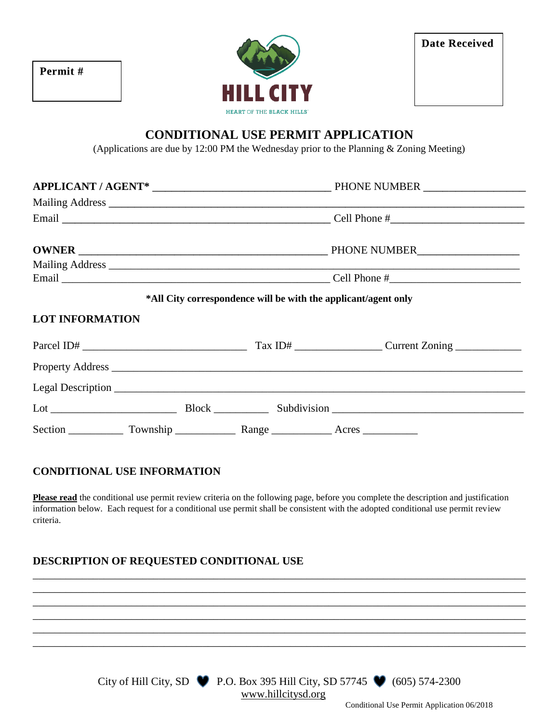| Permit # |  |  |
|----------|--|--|
|----------|--|--|



| <b>Date Received</b> |  |  |
|----------------------|--|--|
|                      |  |  |

# **CONDITIONAL USE PERMIT APPLICATION**

(Applications are due by 12:00 PM the Wednesday prior to the Planning & Zoning Meeting)

|                        | Mailing Address <u>and a substitution of the set of the set of the set of the set of the set of the set of the set of the set of the set of the set of the set of the set of the set of the set of the set of the set of the set</u> |  |                                                                |  |
|------------------------|--------------------------------------------------------------------------------------------------------------------------------------------------------------------------------------------------------------------------------------|--|----------------------------------------------------------------|--|
|                        |                                                                                                                                                                                                                                      |  | *All City correspondence will be with the applicant/agent only |  |
| <b>LOT INFORMATION</b> |                                                                                                                                                                                                                                      |  |                                                                |  |
|                        |                                                                                                                                                                                                                                      |  |                                                                |  |
|                        |                                                                                                                                                                                                                                      |  |                                                                |  |
|                        |                                                                                                                                                                                                                                      |  |                                                                |  |
|                        |                                                                                                                                                                                                                                      |  |                                                                |  |
|                        |                                                                                                                                                                                                                                      |  |                                                                |  |

#### **CONDITIONAL USE INFORMATION**

**Please read** the conditional use permit review criteria on the following page, before you complete the description and justification information below. Each request for a conditional use permit shall be consistent with the adopted conditional use permit review criteria.

\_\_\_\_\_\_\_\_\_\_\_\_\_\_\_\_\_\_\_\_\_\_\_\_\_\_\_\_\_\_\_\_\_\_\_\_\_\_\_\_\_\_\_\_\_\_\_\_\_\_\_\_\_\_\_\_\_\_\_\_\_\_\_\_\_\_\_\_\_\_\_\_\_\_\_\_\_\_\_\_\_\_\_\_\_\_\_\_\_\_ \_\_\_\_\_\_\_\_\_\_\_\_\_\_\_\_\_\_\_\_\_\_\_\_\_\_\_\_\_\_\_\_\_\_\_\_\_\_\_\_\_\_\_\_\_\_\_\_\_\_\_\_\_\_\_\_\_\_\_\_\_\_\_\_\_\_\_\_\_\_\_\_\_\_\_\_\_\_\_\_\_\_\_\_\_\_\_\_\_\_ \_\_\_\_\_\_\_\_\_\_\_\_\_\_\_\_\_\_\_\_\_\_\_\_\_\_\_\_\_\_\_\_\_\_\_\_\_\_\_\_\_\_\_\_\_\_\_\_\_\_\_\_\_\_\_\_\_\_\_\_\_\_\_\_\_\_\_\_\_\_\_\_\_\_\_\_\_\_\_\_\_\_\_\_\_\_\_\_\_\_ \_\_\_\_\_\_\_\_\_\_\_\_\_\_\_\_\_\_\_\_\_\_\_\_\_\_\_\_\_\_\_\_\_\_\_\_\_\_\_\_\_\_\_\_\_\_\_\_\_\_\_\_\_\_\_\_\_\_\_\_\_\_\_\_\_\_\_\_\_\_\_\_\_\_\_\_\_\_\_\_\_\_\_\_\_\_\_\_\_\_ \_\_\_\_\_\_\_\_\_\_\_\_\_\_\_\_\_\_\_\_\_\_\_\_\_\_\_\_\_\_\_\_\_\_\_\_\_\_\_\_\_\_\_\_\_\_\_\_\_\_\_\_\_\_\_\_\_\_\_\_\_\_\_\_\_\_\_\_\_\_\_\_\_\_\_\_\_\_\_\_\_\_\_\_\_\_\_\_\_\_ \_\_\_\_\_\_\_\_\_\_\_\_\_\_\_\_\_\_\_\_\_\_\_\_\_\_\_\_\_\_\_\_\_\_\_\_\_\_\_\_\_\_\_\_\_\_\_\_\_\_\_\_\_\_\_\_\_\_\_\_\_\_\_\_\_\_\_\_\_\_\_\_\_\_\_\_\_\_\_\_\_\_\_\_\_\_\_\_\_\_

#### **DESCRIPTION OF REQUESTED CONDITIONAL USE**



Conditional Use Permit Application 06/2018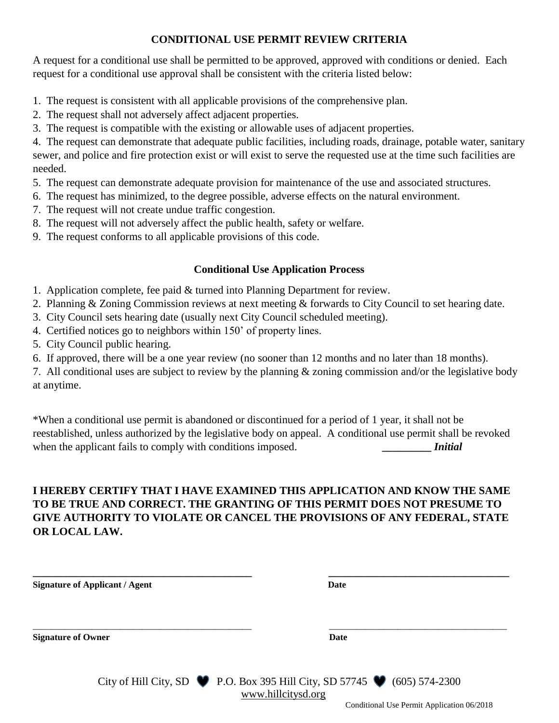## **CONDITIONAL USE PERMIT REVIEW CRITERIA**

A request for a conditional use shall be permitted to be approved, approved with conditions or denied. Each request for a conditional use approval shall be consistent with the criteria listed below:

- 1. The request is consistent with all applicable provisions of the comprehensive plan.
- 2. The request shall not adversely affect adjacent properties.
- 3. The request is compatible with the existing or allowable uses of adjacent properties.

4. The request can demonstrate that adequate public facilities, including roads, drainage, potable water, sanitary sewer, and police and fire protection exist or will exist to serve the requested use at the time such facilities are needed.

- 5. The request can demonstrate adequate provision for maintenance of the use and associated structures.
- 6. The request has minimized, to the degree possible, adverse effects on the natural environment.
- 7. The request will not create undue traffic congestion.
- 8. The request will not adversely affect the public health, safety or welfare.
- 9. The request conforms to all applicable provisions of this code.

### **Conditional Use Application Process**

- 1. Application complete, fee paid & turned into Planning Department for review.
- 2. Planning & Zoning Commission reviews at next meeting & forwards to City Council to set hearing date.
- 3. City Council sets hearing date (usually next City Council scheduled meeting).
- 4. Certified notices go to neighbors within 150' of property lines.
- 5. City Council public hearing.
- 6. If approved, there will be a one year review (no sooner than 12 months and no later than 18 months).

7. All conditional uses are subject to review by the planning & zoning commission and/or the legislative body at anytime.

\*When a conditional use permit is abandoned or discontinued for a period of 1 year, it shall not be reestablished, unless authorized by the legislative body on appeal. A conditional use permit shall be revoked when the applicant fails to comply with conditions imposed. **\_\_\_\_\_\_\_\_\_\_** *Initial* 

## **I HEREBY CERTIFY THAT I HAVE EXAMINED THIS APPLICATION AND KNOW THE SAME TO BE TRUE AND CORRECT. THE GRANTING OF THIS PERMIT DOES NOT PRESUME TO GIVE AUTHORITY TO VIOLATE OR CANCEL THE PROVISIONS OF ANY FEDERAL, STATE OR LOCAL LAW.**

| <b>Signature of Applicant / Agent</b> | Date                                                                                                            |  |
|---------------------------------------|-----------------------------------------------------------------------------------------------------------------|--|
| <b>Signature of Owner</b>             | Date                                                                                                            |  |
|                                       | City of Hill City, SD $\bullet$ P.O. Box 395 Hill City, SD 57745 $\bullet$ (605) 574-2300<br>www.hillcitysd.org |  |

Conditional Use Permit Application 06/2018